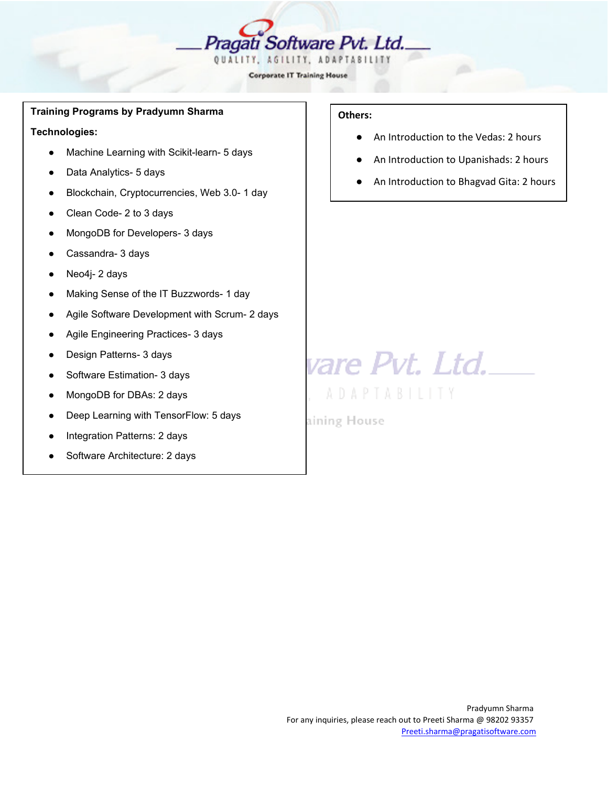

#### **Training Programs by Pradyumn Sharma**

**Technologies:**

- Machine Learning with Scikit-learn- 5 days
- Data Analytics- 5 days
- Blockchain, Cryptocurrencies, Web 3.0- 1 day
- Clean Code- 2 to 3 days
- MongoDB for Developers- 3 days
- Cassandra- 3 days
- Neo4j- 2 days
- Making Sense of the IT Buzzwords- 1 day
- Agile Software Development with Scrum- 2 days
- Agile Engineering Practices- 3 days
- Design Patterns- 3 days
- Software Estimation- 3 days
- MongoDB for DBAs: 2 days
- Deep Learning with TensorFlow: 5 days
- Integration Patterns: 2 days
- Software Architecture: 2 days

# **Others:**

- An Introduction to the Vedas: 2 hours
- An Introduction to Upanishads: 2 hours
- An Introduction to Bhagvad Gita: 2 hours

vare Pvt. Ltd.\_

**ADAPTABILITY** 

aining House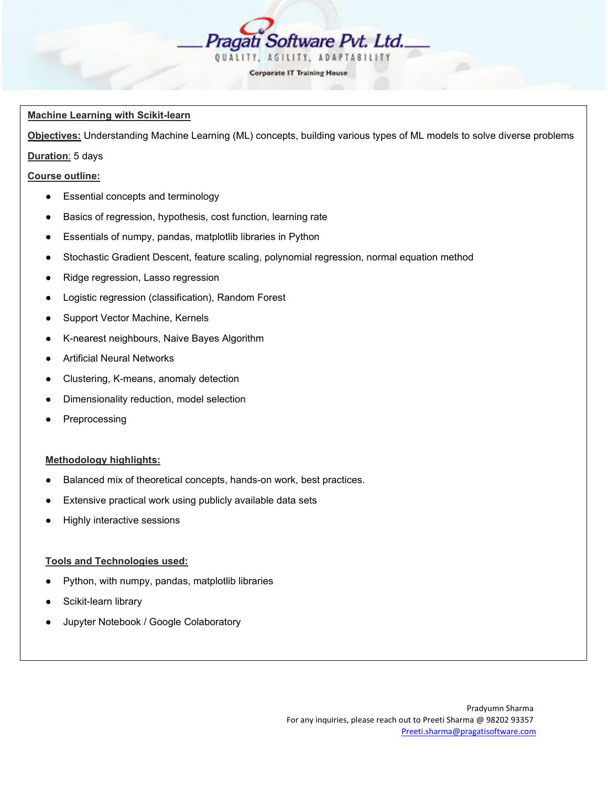

#### **Machine Learning with Scikit-learn**

**Objectives:** Understanding Machine Learning (ML) concepts, building various types of ML models to solve diverse problems

# **Duration**: 5 days

#### **Course outline:**

- Essential concepts and terminology
- Basics of regression, hypothesis, cost function, learning rate
- Essentials of numpy, pandas, matplotlib libraries in Python
- Stochastic Gradient Descent, feature scaling, polynomial regression, normal equation method
- Ridge regression, Lasso regression
- Logistic regression (classification), Random Forest
- Support Vector Machine, Kernels
- K-nearest neighbours, Naive Bayes Algorithm
- **Artificial Neural Networks**
- Clustering, K-means, anomaly detection
- Dimensionality reduction, model selection
- Preprocessing

#### **Methodology highlights:**

- Balanced mix of theoretical concepts, hands-on work, best practices.
- Extensive practical work using publicly available data sets
- **Highly interactive sessions**

#### **Tools and Technologies used:**

- Python, with numpy, pandas, matplotlib libraries
- Scikit-learn library
- Jupyter Notebook / Google Colaboratory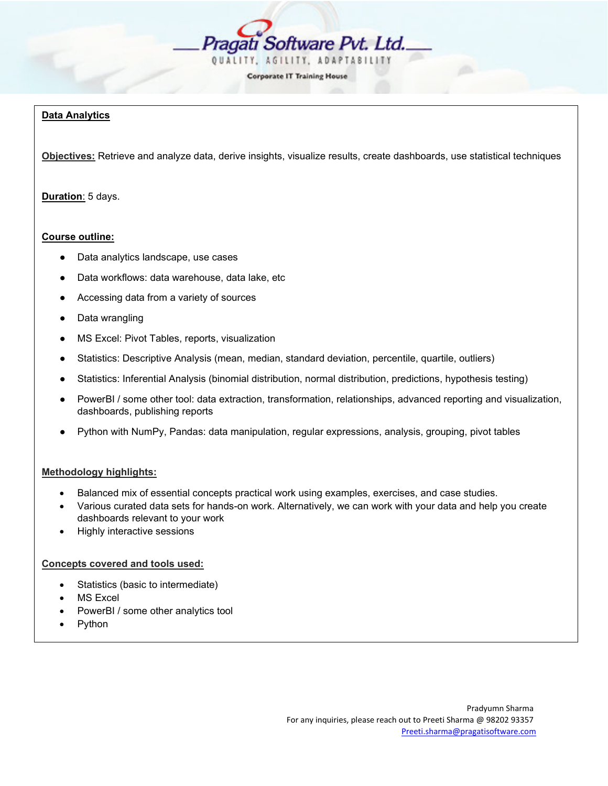

# **Data Analytics**

**Objectives:** Retrieve and analyze data, derive insights, visualize results, create dashboards, use statistical techniques

# **Duration**: 5 days.

#### **Course outline:**

- Data analytics landscape, use cases
- Data workflows: data warehouse, data lake, etc
- Accessing data from a variety of sources
- Data wrangling
- MS Excel: Pivot Tables, reports, visualization
- Statistics: Descriptive Analysis (mean, median, standard deviation, percentile, quartile, outliers)
- Statistics: Inferential Analysis (binomial distribution, normal distribution, predictions, hypothesis testing)
- PowerBI / some other tool: data extraction, transformation, relationships, advanced reporting and visualization, dashboards, publishing reports
- Python with NumPy, Pandas: data manipulation, regular expressions, analysis, grouping, pivot tables

# **Methodology highlights:**

- Balanced mix of essential concepts practical work using examples, exercises, and case studies.
- Various curated data sets for hands-on work. Alternatively, we can work with your data and help you create dashboards relevant to your work
- Highly interactive sessions

#### **Concepts covered and tools used:**

- Statistics (basic to intermediate)
- MS Excel
- PowerBI / some other analytics tool
- Python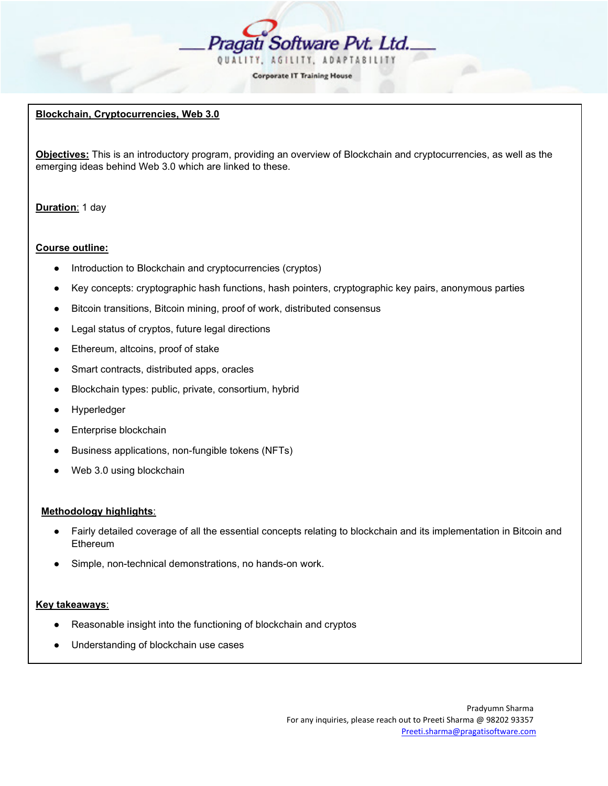

### **Blockchain, Cryptocurrencies, Web 3.0**

**Objectives:** This is an introductory program, providing an overview of Blockchain and cryptocurrencies, as well as the emerging ideas behind Web 3.0 which are linked to these.

# **Duration**: 1 day

#### **Course outline:**

- Introduction to Blockchain and cryptocurrencies (cryptos)
- Key concepts: cryptographic hash functions, hash pointers, cryptographic key pairs, anonymous parties
- Bitcoin transitions, Bitcoin mining, proof of work, distributed consensus
- Legal status of cryptos, future legal directions
- Ethereum, altcoins, proof of stake
- Smart contracts, distributed apps, oracles
- Blockchain types: public, private, consortium, hybrid
- Hyperledger
- Enterprise blockchain
- Business applications, non-fungible tokens (NFTs)
- Web 3.0 using blockchain

#### **Methodology highlights**:

- Fairly detailed coverage of all the essential concepts relating to blockchain and its implementation in Bitcoin and **Ethereum**
- Simple, non-technical demonstrations, no hands-on work.

#### **Key takeaways**:

- Reasonable insight into the functioning of blockchain and cryptos
- Understanding of blockchain use cases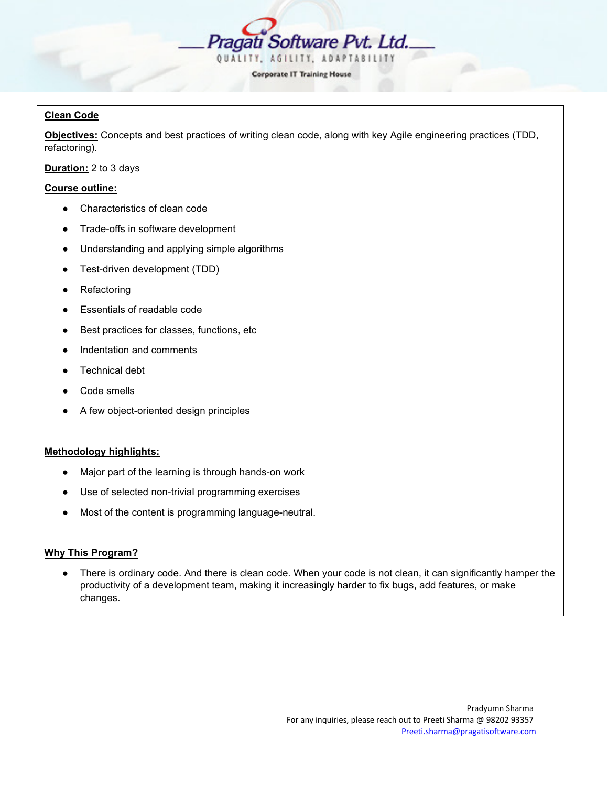

# **Clean Code**

**Objectives:** Concepts and best practices of writing clean code, along with key Agile engineering practices (TDD, refactoring).

**Duration:** 2 to 3 days

# **Course outline:**

- Characteristics of clean code
- Trade-offs in software development
- Understanding and applying simple algorithms
- Test-driven development (TDD)
- Refactoring
- Essentials of readable code
- Best practices for classes, functions, etc
- Indentation and comments
- Technical debt
- Code smells
- A few object-oriented design principles

#### **Methodology highlights:**

- Major part of the learning is through hands-on work
- Use of selected non-trivial programming exercises
- Most of the content is programming language-neutral.

#### **Why This Program?**

There is ordinary code. And there is clean code. When your code is not clean, it can significantly hamper the productivity of a development team, making it increasingly harder to fix bugs, add features, or make changes.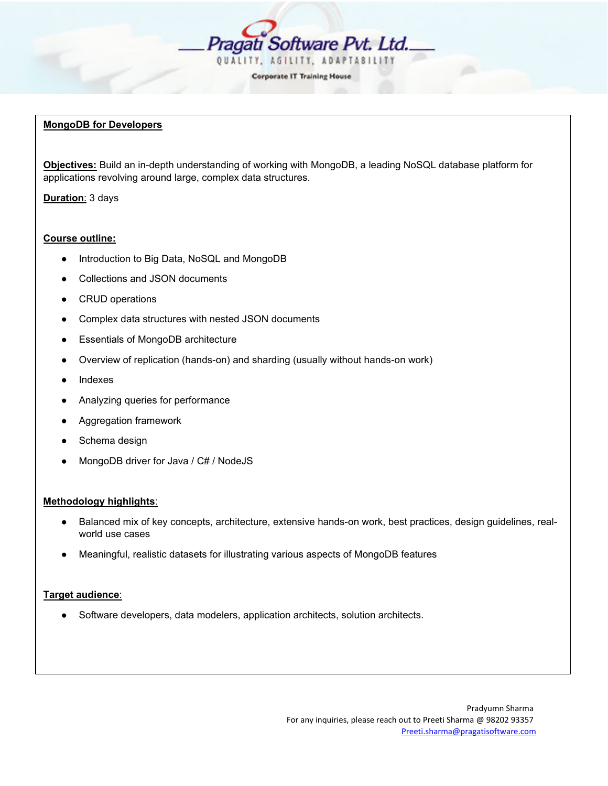

#### **MongoDB for Developers**

**Objectives:** Build an in-depth understanding of working with MongoDB, a leading NoSQL database platform for applications revolving around large, complex data structures.

**Duration**: 3 days

#### **Course outline:**

- Introduction to Big Data, NoSQL and MongoDB
- Collections and JSON documents
- CRUD operations
- Complex data structures with nested JSON documents
- Essentials of MongoDB architecture
- Overview of replication (hands-on) and sharding (usually without hands-on work)
- **Indexes**
- Analyzing queries for performance
- Aggregation framework
- Schema design
- MongoDB driver for Java / C# / NodeJS

#### **Methodology highlights**:

- Balanced mix of key concepts, architecture, extensive hands-on work, best practices, design guidelines, realworld use cases
- Meaningful, realistic datasets for illustrating various aspects of MongoDB features

# **Target audience**:

Software developers, data modelers, application architects, solution architects.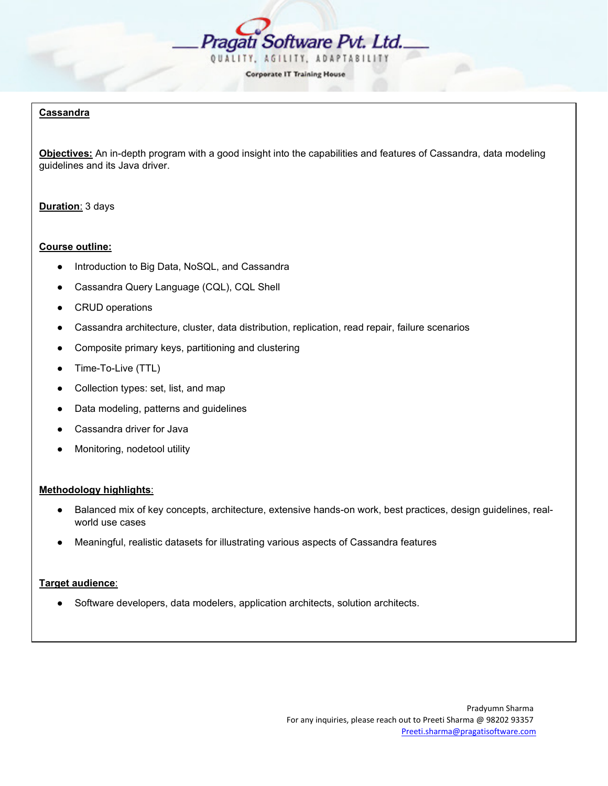

### **Cassandra**

**Objectives:** An in-depth program with a good insight into the capabilities and features of Cassandra, data modeling guidelines and its Java driver.

#### **Duration**: 3 days

#### **Course outline:**

- Introduction to Big Data, NoSQL, and Cassandra
- Cassandra Query Language (CQL), CQL Shell
- CRUD operations
- Cassandra architecture, cluster, data distribution, replication, read repair, failure scenarios
- Composite primary keys, partitioning and clustering
- Time-To-Live (TTL)
- Collection types: set, list, and map
- Data modeling, patterns and guidelines
- Cassandra driver for Java
- Monitoring, nodetool utility

#### **Methodology highlights**:

- Balanced mix of key concepts, architecture, extensive hands-on work, best practices, design guidelines, realworld use cases
- Meaningful, realistic datasets for illustrating various aspects of Cassandra features

#### **Target audience**:

Software developers, data modelers, application architects, solution architects.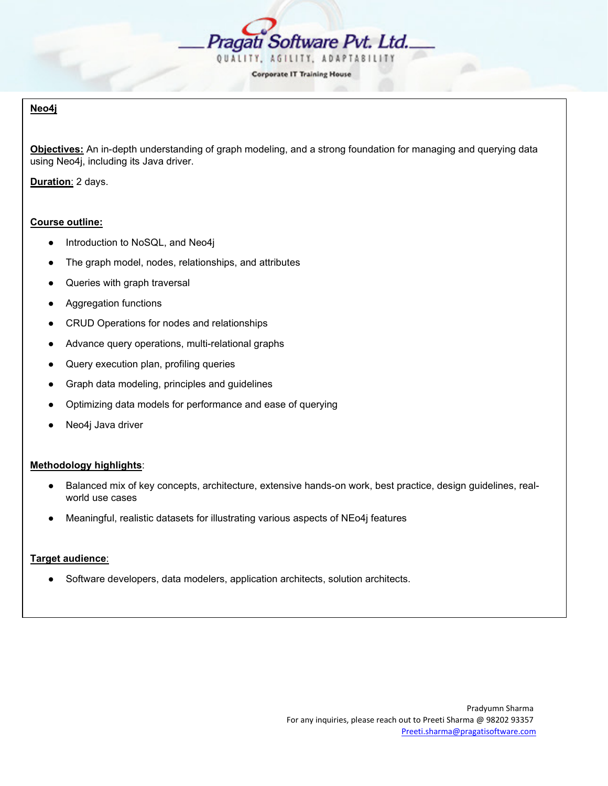

# **Neo4j**

**Objectives:** An in-depth understanding of graph modeling, and a strong foundation for managing and querying data using Neo4j, including its Java driver.

**Duration**: 2 days.

# **Course outline:**

- Introduction to NoSQL, and Neo4j
- The graph model, nodes, relationships, and attributes
- Queries with graph traversal
- Aggregation functions
- CRUD Operations for nodes and relationships
- Advance query operations, multi-relational graphs
- Query execution plan, profiling queries
- Graph data modeling, principles and guidelines
- Optimizing data models for performance and ease of querying
- Neo4j Java driver

# **Methodology highlights**:

- Balanced mix of key concepts, architecture, extensive hands-on work, best practice, design guidelines, realworld use cases
- Meaningful, realistic datasets for illustrating various aspects of NEo4j features

# **Target audience**:

Software developers, data modelers, application architects, solution architects.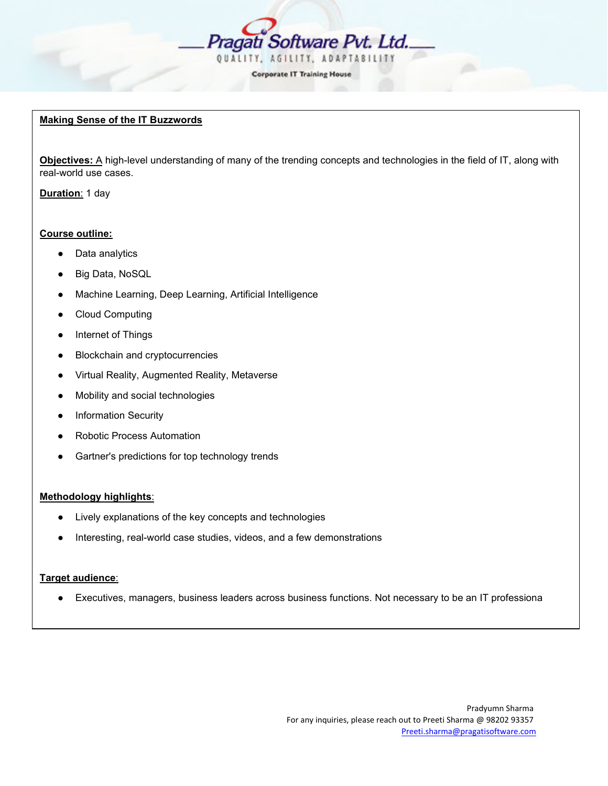

# **Making Sense of the IT Buzzwords**

**Objectives:** A high-level understanding of many of the trending concepts and technologies in the field of IT, along with real-world use cases.

**Duration**: 1 day

# **Course outline:**

- Data analytics
- Big Data, NoSQL
- Machine Learning, Deep Learning, Artificial Intelligence
- Cloud Computing
- Internet of Things
- Blockchain and cryptocurrencies
- Virtual Reality, Augmented Reality, Metaverse
- Mobility and social technologies
- Information Security
- **Robotic Process Automation**
- Gartner's predictions for top technology trends

# **Methodology highlights**:

- Lively explanations of the key concepts and technologies
- Interesting, real-world case studies, videos, and a few demonstrations

# **Target audience**:

Executives, managers, business leaders across business functions. Not necessary to be an IT professiona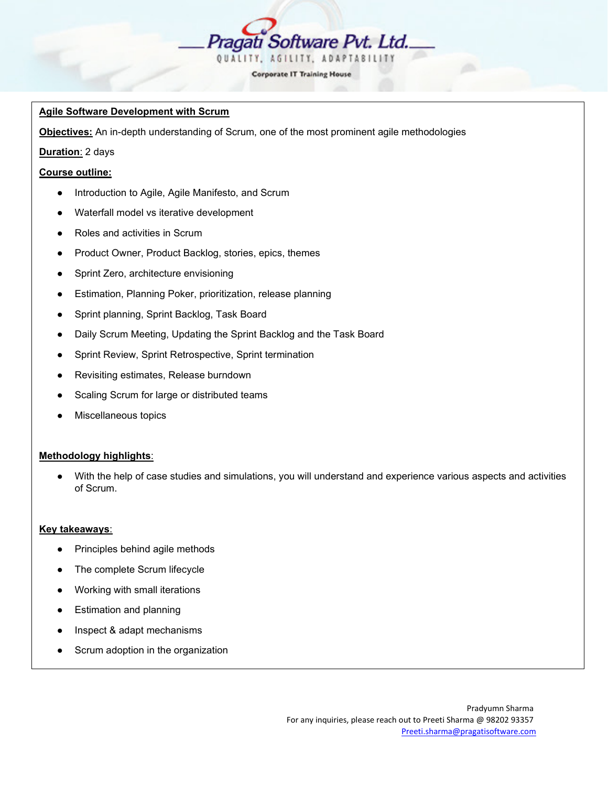

# **Agile Software Development with Scrum**

**Objectives:** An in-depth understanding of Scrum, one of the most prominent agile methodologies

### **Duration**: 2 days

#### **Course outline:**

- Introduction to Agile, Agile Manifesto, and Scrum
- Waterfall model vs iterative development
- Roles and activities in Scrum
- Product Owner, Product Backlog, stories, epics, themes
- Sprint Zero, architecture envisioning
- Estimation, Planning Poker, prioritization, release planning
- Sprint planning, Sprint Backlog, Task Board
- Daily Scrum Meeting, Updating the Sprint Backlog and the Task Board
- Sprint Review, Sprint Retrospective, Sprint termination
- Revisiting estimates, Release burndown
- Scaling Scrum for large or distributed teams
- Miscellaneous topics

#### **Methodology highlights**:

With the help of case studies and simulations, you will understand and experience various aspects and activities of Scrum.

### **Key takeaways**:

- Principles behind agile methods
- The complete Scrum lifecycle
- Working with small iterations
- **Estimation and planning**
- Inspect & adapt mechanisms
- Scrum adoption in the organization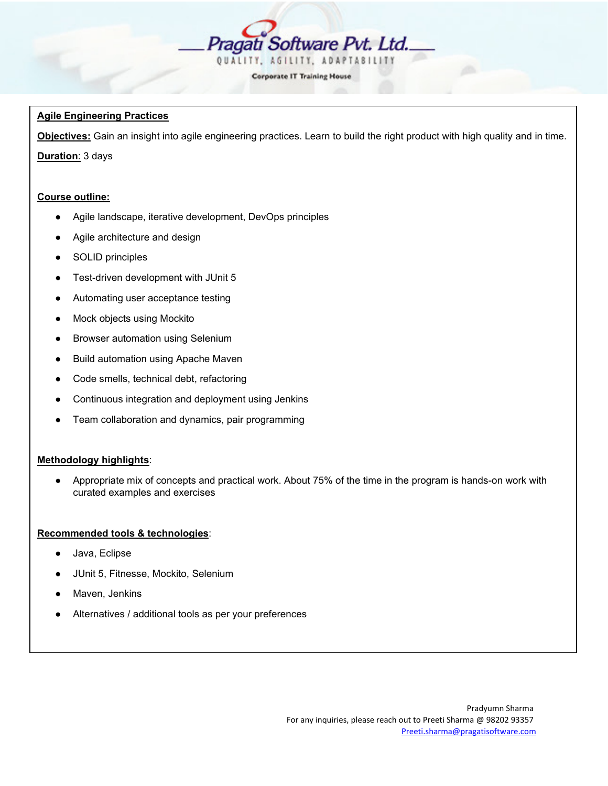

| <b>Corporate IT Training House</b> |  |  |
|------------------------------------|--|--|

# **Agile Engineering Practices**

**Objectives:** Gain an insight into agile engineering practices. Learn to build the right product with high quality and in time. **Duration**: 3 days

# **Course outline:**

- Agile landscape, iterative development, DevOps principles
- Agile architecture and design
- SOLID principles
- Test-driven development with JUnit 5
- Automating user acceptance testing
- Mock objects using Mockito
- Browser automation using Selenium
- Build automation using Apache Maven
- Code smells, technical debt, refactoring
- Continuous integration and deployment using Jenkins
- Team collaboration and dynamics, pair programming

# **Methodology highlights**:

● Appropriate mix of concepts and practical work. About 75% of the time in the program is hands-on work with curated examples and exercises

# **Recommended tools & technologies**:

- Java, Eclipse
- JUnit 5, Fitnesse, Mockito, Selenium
- Maven, Jenkins
- Alternatives / additional tools as per your preferences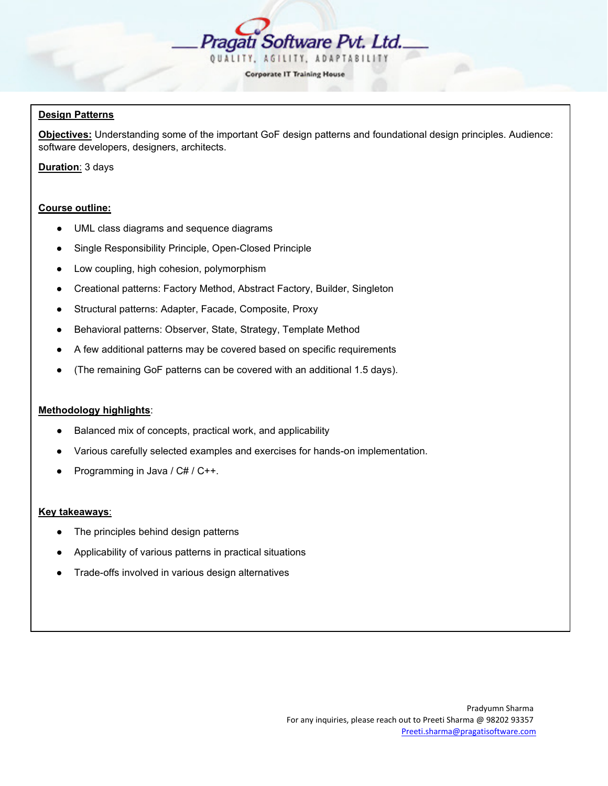

# **Design Patterns**

**Objectives:** Understanding some of the important GoF design patterns and foundational design principles. Audience: software developers, designers, architects.

**Duration**: 3 days

#### **Course outline:**

- UML class diagrams and sequence diagrams
- Single Responsibility Principle, Open-Closed Principle
- Low coupling, high cohesion, polymorphism
- Creational patterns: Factory Method, Abstract Factory, Builder, Singleton
- Structural patterns: Adapter, Facade, Composite, Proxy
- Behavioral patterns: Observer, State, Strategy, Template Method
- A few additional patterns may be covered based on specific requirements
- (The remaining GoF patterns can be covered with an additional 1.5 days).

#### **Methodology highlights**:

- Balanced mix of concepts, practical work, and applicability
- Various carefully selected examples and exercises for hands-on implementation.
- Programming in Java / C# / C++.

### **Key takeaways**:

- The principles behind design patterns
- Applicability of various patterns in practical situations
- Trade-offs involved in various design alternatives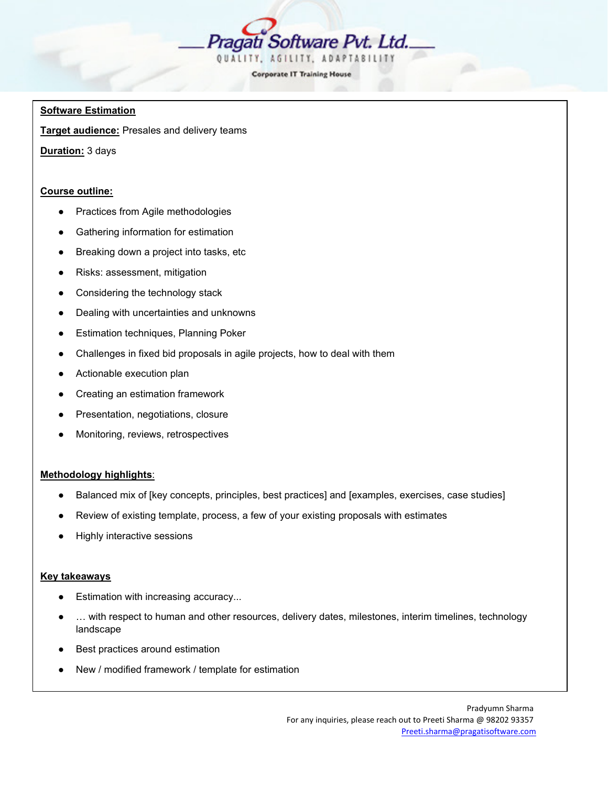

#### **Software Estimation**

**Target audience:** Presales and delivery teams

**Duration:** 3 days

### **Course outline:**

- Practices from Agile methodologies
- Gathering information for estimation
- Breaking down a project into tasks, etc
- Risks: assessment, mitigation
- Considering the technology stack
- Dealing with uncertainties and unknowns
- Estimation techniques, Planning Poker
- Challenges in fixed bid proposals in agile projects, how to deal with them
- Actionable execution plan
- Creating an estimation framework
- Presentation, negotiations, closure
- Monitoring, reviews, retrospectives

# **Methodology highlights**:

- Balanced mix of [key concepts, principles, best practices] and [examples, exercises, case studies]
- Review of existing template, process, a few of your existing proposals with estimates
- **Highly interactive sessions**

#### **Key takeaways**

- Estimation with increasing accuracy...
- ... with respect to human and other resources, delivery dates, milestones, interim timelines, technology landscape
- Best practices around estimation
- New / modified framework / template for estimation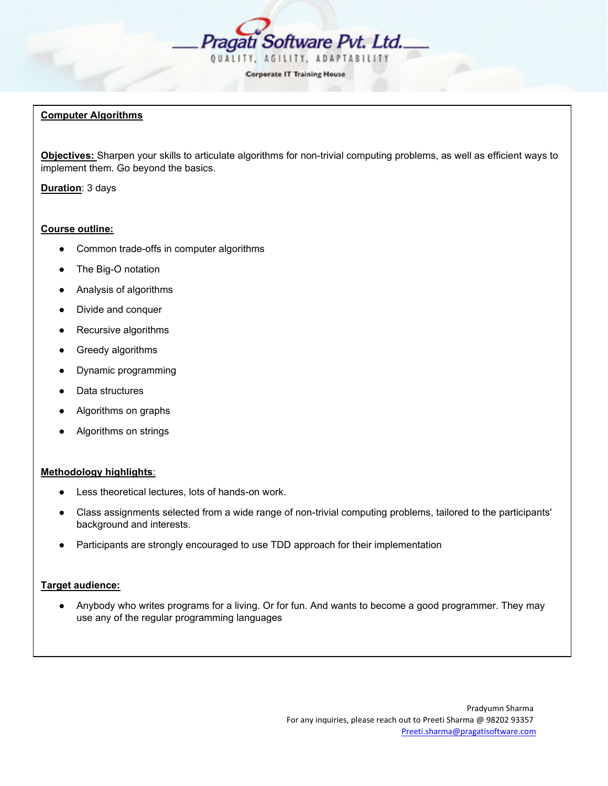

# **Computer Algorithms**

**Objectives:** Sharpen your skills to articulate algorithms for non-trivial computing problems, as well as efficient ways to implement them. Go beyond the basics.

**Duration**: 3 days

### **Course outline:**

- Common trade-offs in computer algorithms
- The Big-O notation
- Analysis of algorithms
- Divide and conquer
- Recursive algorithms
- Greedy algorithms
- Dynamic programming
- Data structures
- Algorithms on graphs
- Algorithms on strings

#### **Methodology highlights**:

- Less theoretical lectures, lots of hands-on work.
- Class assignments selected from a wide range of non-trivial computing problems, tailored to the participants' background and interests.
- Participants are strongly encouraged to use TDD approach for their implementation

### **Target audience:**

● Anybody who writes programs for a living. Or for fun. And wants to become a good programmer. They may use any of the regular programming languages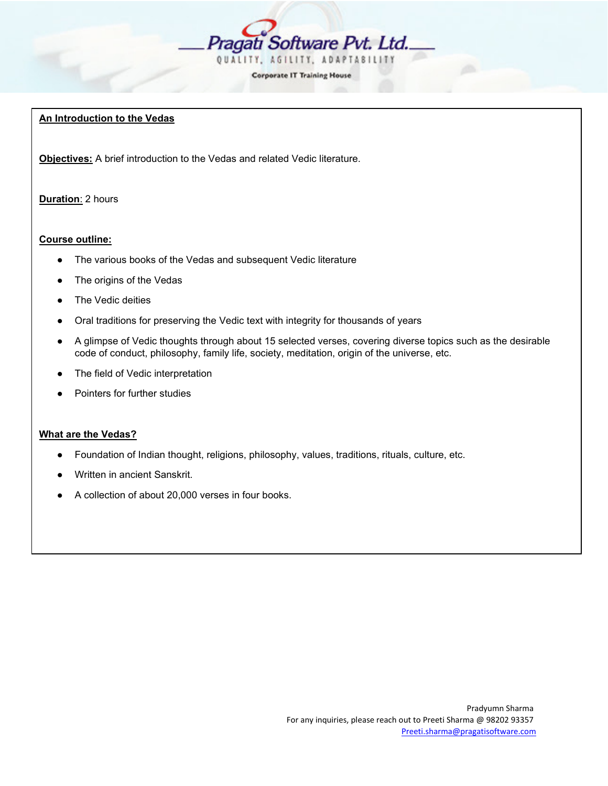

# **An Introduction to the Vedas**

**Objectives:** A brief introduction to the Vedas and related Vedic literature.

# **Duration**: 2 hours

# **Course outline:**

- The various books of the Vedas and subsequent Vedic literature
- The origins of the Vedas
- The Vedic deities
- Oral traditions for preserving the Vedic text with integrity for thousands of years
- A glimpse of Vedic thoughts through about 15 selected verses, covering diverse topics such as the desirable code of conduct, philosophy, family life, society, meditation, origin of the universe, etc.
- The field of Vedic interpretation
- Pointers for further studies

# **What are the Vedas?**

- Foundation of Indian thought, religions, philosophy, values, traditions, rituals, culture, etc.
- Written in ancient Sanskrit.
- A collection of about 20,000 verses in four books.